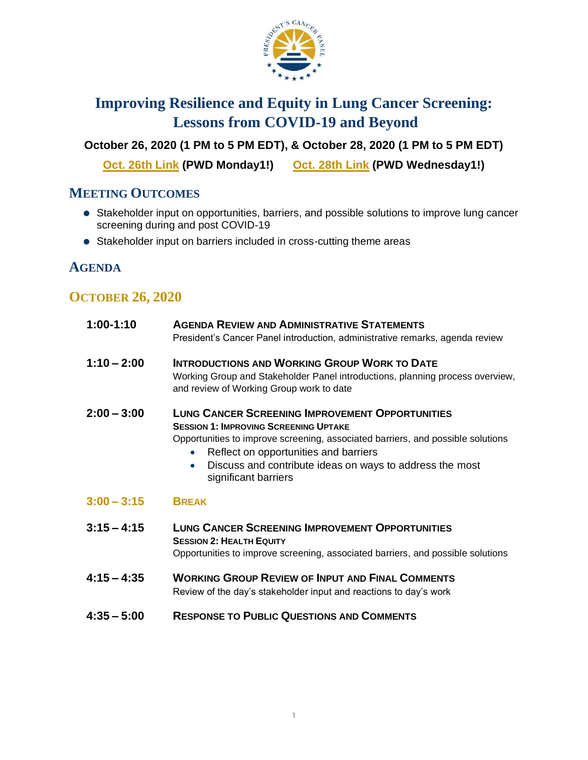

# **Improving Resilience and Equity in Lung Cancer Screening: Lessons from COVID-19 and Beyond**

**October 26, 2020 (1 PM to 5 PM EDT), & October 28, 2020 (1 PM to 5 PM EDT)** 

**[Oct. 26th](https://cbiit.webex.com/cbiit/j.php?MTID=md1ac71c3689e8bb7ce844bf378e30ec8) Link (PWD Monday1!) [Oct. 28th](https://cbiit.webex.com/cbiit/j.php?MTID=m2e904bf34b0939841a295d22ff6ca338) Link (PWD Wednesday1!)**

## **MEETING OUTCOMES**

- Stakeholder input on opportunities, barriers, and possible solutions to improve lung cancer screening during and post COVID-19
- Stakeholder input on barriers included in cross-cutting theme areas

## **AGENDA**

#### **OCTOBER 26, 2020**

| $1:00-1:10$   | <b>AGENDA REVIEW AND ADMINISTRATIVE STATEMENTS</b><br>President's Cancer Panel introduction, administrative remarks, agenda review                                                                                                                                                                                                               |
|---------------|--------------------------------------------------------------------------------------------------------------------------------------------------------------------------------------------------------------------------------------------------------------------------------------------------------------------------------------------------|
| $1:10 - 2:00$ | <b>INTRODUCTIONS AND WORKING GROUP WORK TO DATE</b><br>Working Group and Stakeholder Panel introductions, planning process overview,<br>and review of Working Group work to date                                                                                                                                                                 |
| $2:00 - 3:00$ | <b>LUNG CANCER SCREENING IMPROVEMENT OPPORTUNITIES</b><br><b>SESSION 1: IMPROVING SCREENING UPTAKE</b><br>Opportunities to improve screening, associated barriers, and possible solutions<br>Reflect on opportunities and barriers<br>$\bullet$<br>Discuss and contribute ideas on ways to address the most<br>$\bullet$<br>significant barriers |
| $3:00 - 3:15$ | <b>BREAK</b>                                                                                                                                                                                                                                                                                                                                     |
| $3:15 - 4:15$ | <b>LUNG CANCER SCREENING IMPROVEMENT OPPORTUNITIES</b><br><b>SESSION 2: HEALTH EQUITY</b><br>Opportunities to improve screening, associated barriers, and possible solutions                                                                                                                                                                     |
| $4:15 - 4:35$ | <b>WORKING GROUP REVIEW OF INPUT AND FINAL COMMENTS</b><br>Review of the day's stakeholder input and reactions to day's work                                                                                                                                                                                                                     |
| $4:35 - 5:00$ | <b>RESPONSE TO PUBLIC QUESTIONS AND COMMENTS</b>                                                                                                                                                                                                                                                                                                 |